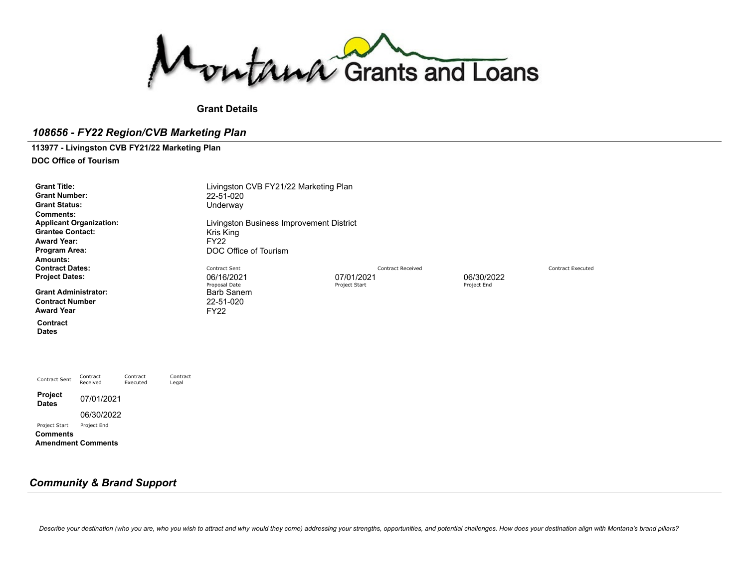Montana Grants and Loans

**Grant Details**

# *108656 - FY22 Region/CVB Marketing Plan*

# **113977 - Livingston CVB FY21/22 Marketing Plan**

**DOC Office of Tourism**

| <b>Grant Number:</b><br>22-51-020<br><b>Grant Status:</b><br>Underway<br><b>Comments:</b><br><b>Applicant Organization:</b><br>Livingston Business Improvement District<br><b>Grantee Contact:</b><br>Kris King<br><b>Award Year:</b><br><b>FY22</b><br>DOC Office of Tourism<br>Program Area:<br>Amounts: |  |
|------------------------------------------------------------------------------------------------------------------------------------------------------------------------------------------------------------------------------------------------------------------------------------------------------------|--|
| <b>Contract Dates:</b><br><b>Contract Sent</b><br><b>Contract Received</b><br><b>Contract Executed</b><br>06/16/2021<br>07/01/2021<br>06/30/2022<br><b>Project Dates:</b><br>Proposal Date<br>Project Start<br>Project End                                                                                 |  |
| <b>Grant Administrator:</b><br><b>Barb Sanem</b><br><b>Contract Number</b><br>22-51-020<br><b>Award Year</b><br><b>FY22</b>                                                                                                                                                                                |  |
| Contract<br><b>Dates</b>                                                                                                                                                                                                                                                                                   |  |
|                                                                                                                                                                                                                                                                                                            |  |
| Contract<br>Contract<br>Contract<br>Contract Sent<br>Received<br>Executed<br>Legal                                                                                                                                                                                                                         |  |
| Project<br>07/01/2021<br><b>Dates</b>                                                                                                                                                                                                                                                                      |  |
| 06/30/2022<br>Project Start<br>Project End                                                                                                                                                                                                                                                                 |  |

**Comments Amendment Comments**

# *Community & Brand Support*

Describe your destination (who you are, who you wish to attract and why would they come) addressing your strengths, opportunities, and potential challenges. How does your destination align with Montana's brand pillars?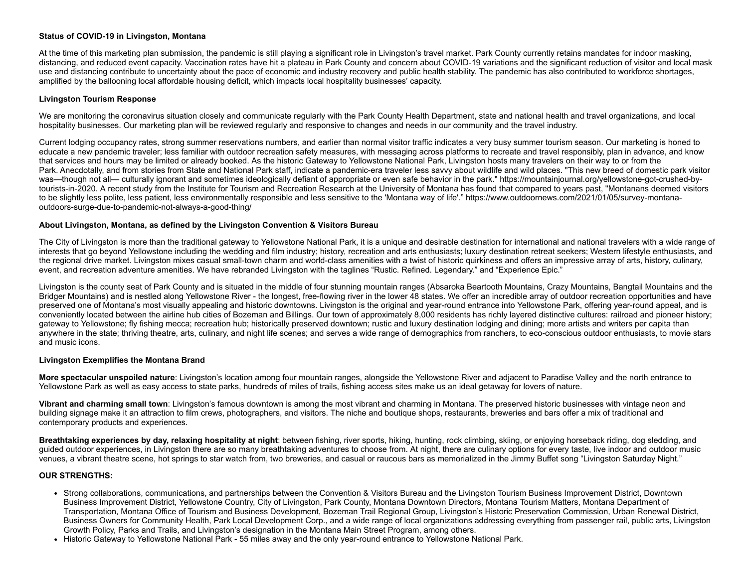### **Status of COVID-19 in Livingston, Montana**

At the time of this marketing plan submission, the pandemic is still playing a significant role in Livingston's travel market. Park County currently retains mandates for indoor masking, distancing, and reduced event capacity. Vaccination rates have hit a plateau in Park County and concern about COVID-19 variations and the significant reduction of visitor and local mask use and distancing contribute to uncertainty about the pace of economic and industry recovery and public health stability. The pandemic has also contributed to workforce shortages, amplified by the ballooning local affordable housing deficit, which impacts local hospitality businesses' capacity.

### **Livingston Tourism Response**

We are monitoring the coronavirus situation closely and communicate regularly with the Park County Health Department, state and national health and travel organizations, and local hospitality businesses. Our marketing plan will be reviewed regularly and responsive to changes and needs in our community and the travel industry.

Current lodging occupancy rates, strong summer reservations numbers, and earlier than normal visitor traffic indicates a very busy summer tourism season. Our marketing is honed to educate a new pandemic traveler; less familiar with outdoor recreation safety measures, with messaging across platforms to recreate and travel responsibly, plan in advance, and know that services and hours may be limited or already booked. As the historic Gateway to Yellowstone National Park, Livingston hosts many travelers on their way to or from the Park. Anecdotally, and from stories from State and National Park staff, indicate a pandemic-era traveler less savvy about wildlife and wild places. "This new breed of domestic park visitor was—though not all— culturally ignorant and sometimes ideologically defiant of appropriate or even safe behavior in the park." [https://mountainjournal.org/yellowstone-got-crushed-by](https://mountainjournal.org/yellowstone-got-crushed-by-tourists-in-2020)tourists-in-2020. A recent study from the Institute for Tourism and Recreation Research at the University of Montana has found that compared to years past, "Montanans deemed visitors to be slightly less polite, less patient, less environmentally responsible and less sensitive to the 'Montana way of life'." [https://www.outdoornews.com/2021/01/05/survey-montana](https://www.outdoornews.com/2021/01/05/survey-montana-outdoors-surge-due-to-pandemic-not-always-a-good-thing/)outdoors-surge-due-to-pandemic-not-always-a-good-thing/

### **About Livingston, Montana, as defined by the Livingston Convention & Visitors Bureau**

The City of Livingston is more than the traditional gateway to Yellowstone National Park, it is a unique and desirable destination for international and national travelers with a wide range of interests that go beyond Yellowstone including the wedding and film industry; history, recreation and arts enthusiasts; luxury destination retreat seekers; Western lifestyle enthusiasts, and the regional drive market. Livingston mixes casual small-town charm and world-class amenities with a twist of historic quirkiness and offers an impressive array of arts, history, culinary, event, and recreation adventure amenities. We have rebranded Livingston with the taglines "Rustic. Refined. Legendary." and "Experience Epic."

Livingston is the county seat of Park County and is situated in the middle of four stunning mountain ranges (Absaroka Beartooth Mountains, Crazy Mountains, Bangtail Mountains and the Bridger Mountains) and is nestled along Yellowstone River - the longest, free-flowing river in the lower 48 states. We offer an incredible array of outdoor recreation opportunities and have preserved one of Montana's most visually appealing and historic downtowns. Livingston is the original and year-round entrance into Yellowstone Park, offering year-round appeal, and is conveniently located between the airline hub cities of Bozeman and Billings. Our town of approximately 8,000 residents has richly layered distinctive cultures: railroad and pioneer history; gateway to Yellowstone; fly fishing mecca; recreation hub; historically preserved downtown; rustic and luxury destination lodging and dining; more artists and writers per capita than anywhere in the state; thriving theatre, arts, culinary, and night life scenes; and serves a wide range of demographics from ranchers, to eco-conscious outdoor enthusiasts, to movie stars and music icons.

#### **Livingston Exemplifies the Montana Brand**

**More spectacular unspoiled nature**: Livingston's location among four mountain ranges, alongside the Yellowstone River and adjacent to Paradise Valley and the north entrance to Yellowstone Park as well as easy access to state parks, hundreds of miles of trails, fishing access sites make us an ideal getaway for lovers of nature.

**Vibrant and charming small town**: Livingston's famous downtown is among the most vibrant and charming in Montana. The preserved historic businesses with vintage neon and building signage make it an attraction to film crews, photographers, and visitors. The niche and boutique shops, restaurants, breweries and bars offer a mix of traditional and contemporary products and experiences.

Breathtaking experiences by day, relaxing hospitality at night: between fishing, river sports, hiking, hunting, rock climbing, skiing, or enioving horseback riding, dog sledding, and guided outdoor experiences, in Livingston there are so many breathtaking adventures to choose from. At night, there are culinary options for every taste, live indoor and outdoor music venues, a vibrant theatre scene, hot springs to star watch from, two breweries, and casual or raucous bars as memorialized in the Jimmy Buffet song "Livingston Saturday Night."

#### **OUR STRENGTHS:**

- Strong collaborations, communications, and partnerships between the Convention & Visitors Bureau and the Livingston Tourism Business Improvement District, Downtown Business Improvement District, Yellowstone Country, City of Livingston, Park County, Montana Downtown Directors, Montana Tourism Matters, Montana Department of Transportation, Montana Office of Tourism and Business Development, Bozeman Trail Regional Group, Livingston's Historic Preservation Commission, Urban Renewal District, Business Owners for Community Health, Park Local Development Corp., and a wide range of local organizations addressing everything from passenger rail, public arts, Livingston Growth Policy, Parks and Trails, and Livingston's designation in the Montana Main Street Program, among others.
- Historic Gateway to Yellowstone National Park 55 miles away and the only year-round entrance to Yellowstone National Park.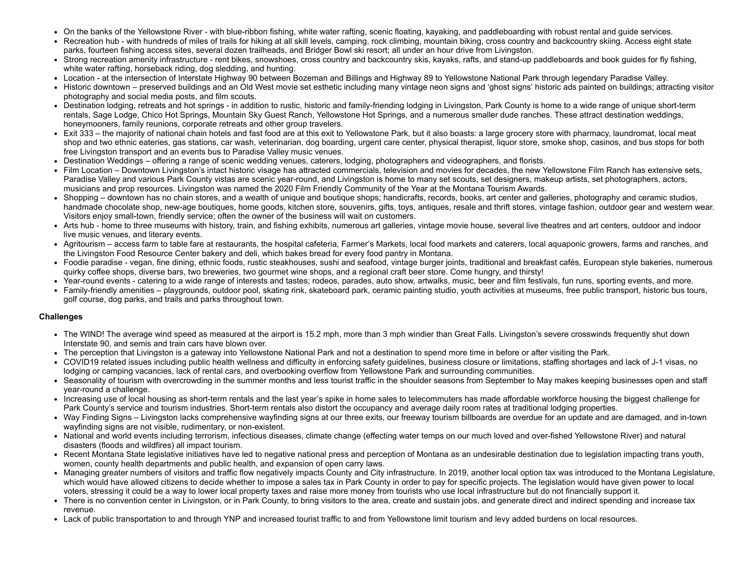- On the banks of the Yellowstone River with blue-ribbon fishing, white water rafting, scenic floating, kayaking, and paddleboarding with robust rental and guide services.
- Recreation hub with hundreds of miles of trails for hiking at all skill levels, camping, rock climbing, mountain biking, cross country and backcountry skiing. Access eight state parks, fourteen fishing access sites, several dozen trailheads, and Bridger Bowl ski resort; all under an hour drive from Livingston.
- Strong recreation amenity infrastructure rent bikes, snowshoes, cross country and backcountry skis, kayaks, rafts, and stand-up paddleboards and book guides for fly fishing, white water rafting, horseback riding, dog sledding, and hunting.
- Location at the intersection of Interstate Highway 90 between Bozeman and Billings and Highway 89 to Yellowstone National Park through legendary Paradise Valley.
- Historic downtown preserved buildings and an Old West movie set esthetic including many vintage neon signs and 'ghost signs' historic ads painted on buildings; attracting visitor photography and social media posts, and film scouts.
- Destination lodging, retreats and hot springs in addition to rustic, historic and family-friending lodging in Livingston, Park County is home to a wide range of unique short-term rentals, Sage Lodge, Chico Hot Springs, Mountain Sky Guest Ranch, Yellowstone Hot Springs, and a numerous smaller dude ranches. These attract destination weddings, honeymooners, family reunions, corporate retreats and other group travelers.
- Exit 333 the majority of national chain hotels and fast food are at this exit to Yellowstone Park, but it also boasts: a large grocery store with pharmacy, laundromat, local meat shop and two ethnic eateries, gas stations, car wash, veterinarian, dog boarding, urgent care center, physical therapist, liquor store, smoke shop, casinos, and bus stops for both free Livingston transport and an events bus to Paradise Valley music venues.
- Destination Weddings offering a range of scenic wedding venues, caterers, lodging, photographers and videographers, and florists.
- Film Location Downtown Livingston's intact historic visage has attracted commercials, television and movies for decades, the new Yellowstone Film Ranch has extensive sets, Paradise Valley and various Park County vistas are scenic year-round, and Livingston is home to many set scouts, set designers, makeup artists, set photographers, actors, musicians and prop resources. Livingston was named the 2020 Film Friendly Community of the Year at the Montana Tourism Awards.
- Shopping downtown has no chain stores, and a wealth of unique and boutique shops; handicrafts, records, books, art center and galleries, photography and ceramic studios, handmade chocolate shop, new-age boutiques, home goods, kitchen store, souvenirs, gifts, toys, antiques, resale and thrift stores, vintage fashion, outdoor gear and western wear. Visitors enjoy small-town, friendly service; often the owner of the business will wait on customers.
- Arts hub home to three museums with history, train, and fishing exhibits, numerous art galleries, vintage movie house, several live theatres and art centers, outdoor and indoor live music venues, and literary events.
- Agritourism access farm to table fare at restaurants, the hospital cafeteria, Farmer's Markets, local food markets and caterers, local aquaponic growers, farms and ranches, and the Livingston Food Resource Center bakery and deli, which bakes bread for every food pantry in Montana.
- Foodie paradise vegan, fine dining, ethnic foods, rustic steakhouses, sushi and seafood, vintage burger joints, traditional and breakfast cafés, European style bakeries, numerous quirky coffee shops, diverse bars, two breweries, two gourmet wine shops, and a regional craft beer store. Come hungry, and thirsty!
- Year-round events catering to a wide range of interests and tastes; rodeos, parades, auto show, artwalks, music, beer and film festivals, fun runs, sporting events, and more.
- Family-friendly amenities playgrounds, outdoor pool, skating rink, skateboard park, ceramic painting studio, youth activities at museums, free public transport, historic bus tours, golf course, dog parks, and trails and parks throughout town.

### **Challenges**

- The WIND! The average wind speed as measured at the airport is 15.2 mph, more than 3 mph windier than Great Falls. Livingston's severe crosswinds frequently shut down Interstate 90, and semis and train cars have blown over.
- The perception that Livingston is a gateway into Yellowstone National Park and not a destination to spend more time in before or after visiting the Park.
- COVID19 related issues including public health wellness and difficulty in enforcing safety guidelines, business closure or limitations, staffing shortages and lack of J-1 visas, no lodging or camping vacancies, lack of rental cars, and overbooking overflow from Yellowstone Park and surrounding communities.
- Seasonality of tourism with overcrowding in the summer months and less tourist traffic in the shoulder seasons from September to May makes keeping businesses open and staff year-round a challenge.
- Increasing use of local housing as short-term rentals and the last year's spike in home sales to telecommuters has made affordable workforce housing the biggest challenge for Park County's service and tourism industries. Short-term rentals also distort the occupancy and average daily room rates at traditional lodging properties.
- Way Finding Signs Livingston lacks comprehensive wayfinding signs at our three exits, our freeway tourism billboards are overdue for an update and are damaged, and in-town wayfinding signs are not visible, rudimentary, or non-existent.
- National and world events including terrorism, infectious diseases, climate change (effecting water temps on our much loved and over-fished Yellowstone River) and natural disasters (floods and wildfires) all impact tourism.
- Recent Montana State legislative initiatives have led to negative national press and perception of Montana as an undesirable destination due to legislation impacting trans youth, women, county health departments and public health, and expansion of open carry laws.
- Managing greater numbers of visitors and traffic flow negatively impacts County and City infrastructure. In 2019, another local option tax was introduced to the Montana Legislature, which would have allowed citizens to decide whether to impose a sales tax in Park County in order to pay for specific projects. The legislation would have given power to local voters, stressing it could be a way to lower local property taxes and raise more money from tourists who use local infrastructure but do not financially support it.
- There is no convention center in Livingston, or in Park County, to bring visitors to the area, create and sustain jobs, and generate direct and indirect spending and increase tax revenue.
- Lack of public transportation to and through YNP and increased tourist traffic to and from Yellowstone limit tourism and levy added burdens on local resources.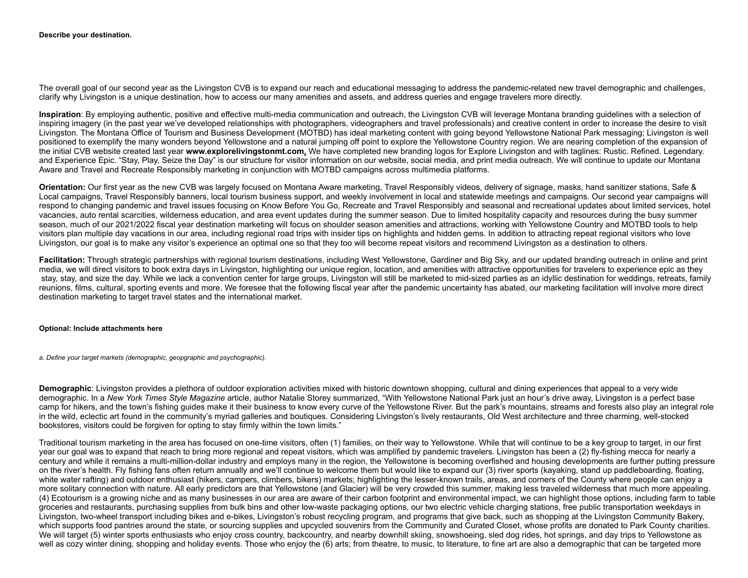#### **Describe your destination.**

The overall goal of our second year as the Livingston CVB is to expand our reach and educational messaging to address the pandemic-related new travel demographic and challenges, clarify why Livingston is a unique destination, how to access our many amenities and assets, and address queries and engage travelers more directly.

**Inspiration**: By employing authentic, positive and effective multi-media communication and outreach, the Livingston CVB will leverage Montana branding guidelines with a selection of inspiring imagery (in the past year we've developed relationships with photographers, videographers and travel professionals) and creative content in order to increase the desire to visit Livingston. The Montana Office of Tourism and Business Development (MOTBD) has ideal marketing content with going beyond Yellowstone National Park messaging; Livingston is well positioned to exemplify the many wonders beyond Yellowstone and a natural jumping off point to explore the Yellowstone Country region. We are nearing completion of the expansion of the initial CVB website created last year **[www.explorelivingstonmt.com.](http://www.explorelivingstonmt.com/)** We have completed new branding logos for Explore Livingston and with taglines: Rustic. Refined. Legendary. and Experience Epic. "Stay, Play, Seize the Day" is our structure for visitor information on our website, social media, and print media outreach. We will continue to update our Montana Aware and Travel and Recreate Responsibly marketing in conjunction with MOTBD campaigns across multimedia platforms.

**Orientation:** Our first year as the new CVB was largely focused on Montana Aware marketing, Travel Responsibly videos, delivery of signage, masks, hand sanitizer stations, Safe & Local campaigns, Travel Responsibly banners, local tourism business support, and weekly involvement in local and statewide meetings and campaigns. Our second year campaigns will respond to changing pandemic and travel issues focusing on Know Before You Go, Recreate and Travel Responsibly and seasonal and recreational updates about limited services, hotel vacancies, auto rental scarcities, wilderness education, and area event updates during the summer season. Due to limited hospitality capacity and resources during the busy summer season, much of our 2021/2022 fiscal year destination marketing will focus on shoulder season amenities and attractions, working with Yellowstone Country and MOTBD tools to help visitors plan multiple day vacations in our area, including regional road trips with insider tips on highlights and hidden gems. In addition to attracting repeat regional visitors who love Livingston, our goal is to make any visitor's experience an optimal one so that they too will become repeat visitors and recommend Livingston as a destination to others.

**Facilitation:** Through strategic partnerships with regional tourism destinations, including West Yellowstone, Gardiner and Big Sky, and our updated branding outreach in online and print media, we will direct visitors to book extra days in Livingston, highlighting our unique region, location, and amenities with attractive opportunities for travelers to experience epic as they stay, stay, and size the day. While we lack a convention center for large groups, Livingston will still be marketed to mid-sized parties as an idyllic destination for weddings, retreats, family reunions, films, cultural, sporting events and more. We foresee that the following fiscal year after the pandemic uncertainty has abated, our marketing facilitation will involve more direct destination marketing to target travel states and the international market.

#### **Optional: Include attachments here**

*a. Define your target markets (demographic, geopgraphic and psychographic).*

**Demographic**: Livingston provides a plethora of outdoor exploration activities mixed with historic downtown shopping, cultural and dining experiences that appeal to a very wide demographic. In a *New York Times Style Magazine* article, author Natalie Storey summarized, "With Yellowstone National Park just an hour's drive away, Livingston is a perfect base camp for hikers, and the town's fishing guides make it their business to know every curve of the Yellowstone River. But the park's mountains, streams and forests also play an integral role in the wild, eclectic art found in the community's myriad galleries and boutiques. Considering Livingston's lively restaurants, Old West architecture and three charming, well-stocked bookstores, visitors could be forgiven for opting to stay firmly within the town limits."

Traditional tourism marketing in the area has focused on one-time visitors, often (1) families, on their way to Yellowstone. While that will continue to be a key group to target, in our first year our goal was to expand that reach to bring more regional and repeat visitors, which was amplified by pandemic travelers. Livingston has been a (2) fly-fishing mecca for nearly a century and while it remains a multi-million-dollar industry and employs many in the region, the Yellowstone is becoming overfished and housing developments are further putting pressure on the river's health. Fly fishing fans often return annually and we'll continue to welcome them but would like to expand our (3) river sports (kayaking, stand up paddleboarding, floating, white water rafting) and outdoor enthusiast (hikers, campers, climbers, bikers) markets; highlighting the lesser-known trails, areas, and corners of the County where people can enjoy a more solitary connection with nature. All early predictors are that Yellowstone (and Glacier) will be very crowded this summer, making less traveled wilderness that much more appealing. (4) Ecotourism is a growing niche and as many businesses in our area are aware of their carbon footprint and environmental impact, we can highlight those options, including farm to table groceries and restaurants, purchasing supplies from bulk bins and other low-waste packaging options, our two electric vehicle charging stations, free public transportation weekdays in Livingston, two-wheel transport including bikes and e-bikes, Livingston's robust recycling program, and programs that give back, such as shopping at the Livingston Community Bakery, which supports food pantries around the state, or sourcing supplies and upcycled souvenirs from the Community and Curated Closet, whose profits are donated to Park County charities. We will target (5) winter sports enthusiasts who enjoy cross country, backcountry, and nearby downhill skiing, snowshoeing, sled dog rides, hot springs, and day trips to Yellowstone as well as cozy winter dining, shopping and holiday events. Those who enjoy the (6) arts; from theatre, to music, to literature, to fine art are also a demographic that can be targeted more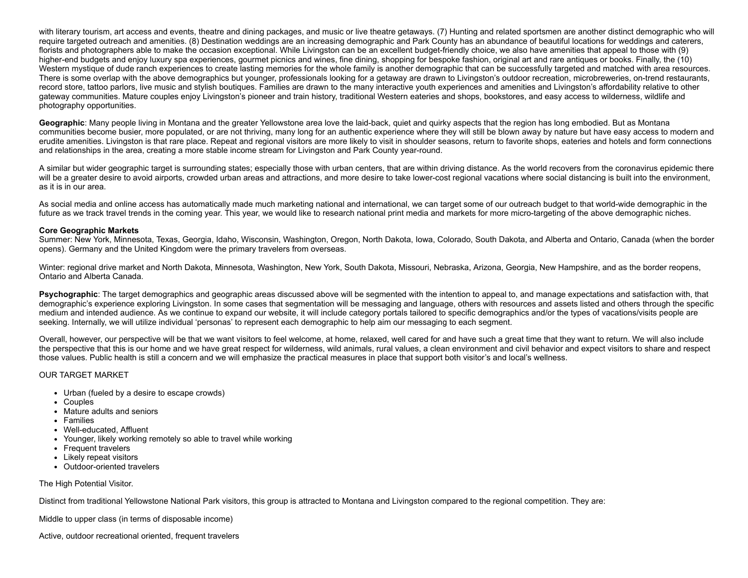with literary tourism, art access and events, theatre and dining packages, and music or live theatre getaways. (7) Hunting and related sportsmen are another distinct demographic who will require targeted outreach and amenities. (8) Destination weddings are an increasing demographic and Park County has an abundance of beautiful locations for weddings and caterers, florists and photographers able to make the occasion exceptional. While Livingston can be an excellent budget-friendly choice, we also have amenities that appeal to those with (9) higher-end budgets and enjoy luxury spa experiences, gourmet picnics and wines, fine dining, shopping for bespoke fashion, original art and rare antiques or books. Finally, the (10) Western mystique of dude ranch experiences to create lasting memories for the whole family is another demographic that can be successfully targeted and matched with area resources. There is some overlap with the above demographics but younger, professionals looking for a getaway are drawn to Livingston's outdoor recreation, microbreweries, on-trend restaurants, record store, tattoo parlors, live music and stylish boutiques. Families are drawn to the many interactive youth experiences and amenities and Livingston's affordability relative to other gateway communities. Mature couples enjoy Livingston's pioneer and train history, traditional Western eateries and shops, bookstores, and easy access to wilderness, wildlife and photography opportunities.

**Geographic**: Many people living in Montana and the greater Yellowstone area love the laid-back, quiet and quirky aspects that the region has long embodied. But as Montana communities become busier, more populated, or are not thriving, many long for an authentic experience where they will still be blown away by nature but have easy access to modern and erudite amenities. Livingston is that rare place. Repeat and regional visitors are more likely to visit in shoulder seasons, return to favorite shops, eateries and hotels and form connections and relationships in the area, creating a more stable income stream for Livingston and Park County year-round.

A similar but wider geographic target is surrounding states; especially those with urban centers, that are within driving distance. As the world recovers from the coronavirus epidemic there will be a greater desire to avoid airports, crowded urban areas and attractions, and more desire to take lower-cost regional vacations where social distancing is built into the environment, as it is in our area.

As social media and online access has automatically made much marketing national and international, we can target some of our outreach budget to that world-wide demographic in the future as we track travel trends in the coming year. This year, we would like to research national print media and markets for more micro-targeting of the above demographic niches.

#### **Core Geographic Markets**

Summer: New York, Minnesota, Texas, Georgia, Idaho, Wisconsin, Washington, Oregon, North Dakota, Iowa, Colorado, South Dakota, and Alberta and Ontario, Canada (when the border opens). Germany and the United Kingdom were the primary travelers from overseas.

Winter: regional drive market and North Dakota, Minnesota, Washington, New York, South Dakota, Missouri, Nebraska, Arizona, Georgia, New Hampshire, and as the border reopens, Ontario and Alberta Canada.

**Psychographic**: The target demographics and geographic areas discussed above will be segmented with the intention to appeal to, and manage expectations and satisfaction with, that demographic's experience exploring Livingston. In some cases that segmentation will be messaging and language, others with resources and assets listed and others through the specific medium and intended audience. As we continue to expand our website, it will include category portals tailored to specific demographics and/or the types of vacations/visits people are seeking. Internally, we will utilize individual 'personas' to represent each demographic to help aim our messaging to each segment.

Overall, however, our perspective will be that we want visitors to feel welcome, at home, relaxed, well cared for and have such a great time that they want to return. We will also include the perspective that this is our home and we have great respect for wilderness, wild animals, rural values, a clean environment and civil behavior and expect visitors to share and respect those values. Public health is still a concern and we will emphasize the practical measures in place that support both visitor's and local's wellness.

#### OUR TARGET MARKET

- Urban (fueled by a desire to escape crowds)
- Couples
- Mature adults and seniors
- Families
- Well-educated, Affluent
- Younger, likely working remotely so able to travel while working
- Frequent travelers
- Likely repeat visitors
- Outdoor-oriented travelers

#### The High Potential Visitor.

Distinct from traditional Yellowstone National Park visitors, this group is attracted to Montana and Livingston compared to the regional competition. They are:

Middle to upper class (in terms of disposable income)

Active, outdoor recreational oriented, frequent travelers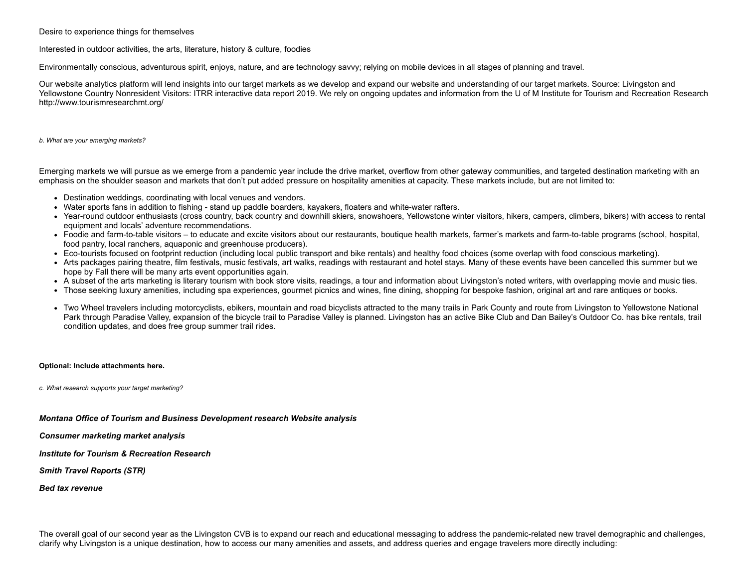#### Desire to experience things for themselves

#### Interested in outdoor activities, the arts, literature, history & culture, foodies

Environmentally conscious, adventurous spirit, enjoys, nature, and are technology savvy; relying on mobile devices in all stages of planning and travel.

Our website analytics platform will lend insights into our target markets as we develop and expand our website and understanding of our target markets. Source: Livingston and Yellowstone Country Nonresident Visitors: ITRR interactive data report 2019. We rely on ongoing updates and information from the U of M Institute for Tourism and Recreation Research <http://www.tourismresearchmt.org/>

*b. What are your emerging markets?*

Emerging markets we will pursue as we emerge from a pandemic year include the drive market, overflow from other gateway communities, and targeted destination marketing with an emphasis on the shoulder season and markets that don't put added pressure on hospitality amenities at capacity. These markets include, but are not limited to:

- Destination weddings, coordinating with local venues and vendors.
- Water sports fans in addition to fishing stand up paddle boarders, kayakers, floaters and white-water rafters.
- Year-round outdoor enthusiasts (cross country, back country and downhill skiers, snowshoers, Yellowstone winter visitors, hikers, campers, climbers, bikers) with access to rental equipment and locals' adventure recommendations.
- Foodie and farm-to-table visitors to educate and excite visitors about our restaurants, boutique health markets, farmer's markets and farm-to-table programs (school, hospital, food pantry, local ranchers, aquaponic and greenhouse producers).
- Eco-tourists focused on footprint reduction (including local public transport and bike rentals) and healthy food choices (some overlap with food conscious marketing).
- Arts packages pairing theatre, film festivals, music festivals, art walks, readings with restaurant and hotel stays. Many of these events have been cancelled this summer but we hope by Fall there will be many arts event opportunities again.
- A subset of the arts marketing is literary tourism with book store visits, readings, a tour and information about Livingston's noted writers, with overlapping movie and music ties.
- Those seeking luxury amenities, including spa experiences, gourmet picnics and wines, fine dining, shopping for bespoke fashion, original art and rare antiques or books.
- Two Wheel travelers including motorcyclists, ebikers, mountain and road bicyclists attracted to the many trails in Park County and route from Livingston to Yellowstone National Park through Paradise Valley, expansion of the bicycle trail to Paradise Valley is planned. Livingston has an active Bike Club and Dan Bailey's Outdoor Co. has bike rentals, trail condition updates, and does free group summer trail rides.

#### **Optional: Include attachments here.**

*c. What research supports your target marketing?*

*Montana Office of Tourism and Business Development research Website analysis*

*Consumer marketing market analysis*

*Institute for Tourism & Recreation Research*

*Smith Travel Reports (STR)*

*Bed tax revenue*

The overall goal of our second year as the Livingston CVB is to expand our reach and educational messaging to address the pandemic-related new travel demographic and challenges, clarify why Livingston is a unique destination, how to access our many amenities and assets, and address queries and engage travelers more directly including: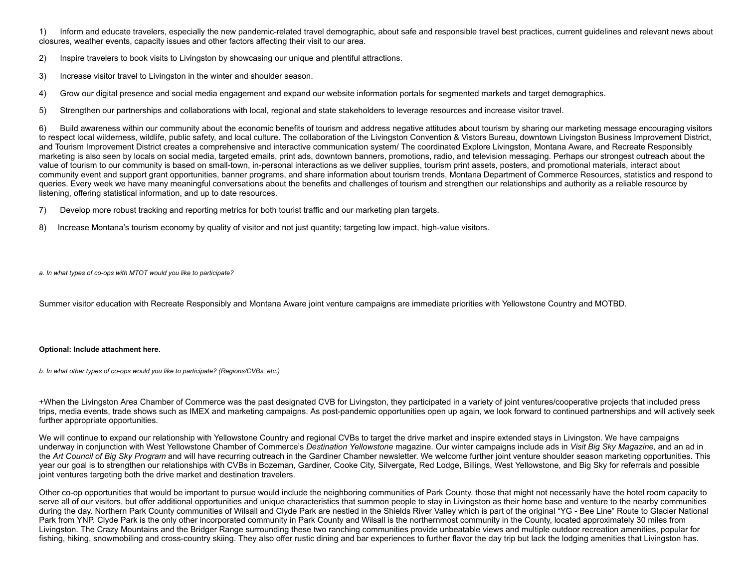1) Inform and educate travelers, especially the new pandemic-related travel demographic, about safe and responsible travel best practices, current guidelines and relevant news about closures, weather events, capacity issues and other factors affecting their visit to our area.

2) Inspire travelers to book visits to Livingston by showcasing our unique and plentiful attractions.

3) Increase visitor travel to Livingston in the winter and shoulder season.

4) Grow our digital presence and social media engagement and expand our website information portals for segmented markets and target demographics.

5) Strengthen our partnerships and collaborations with local, regional and state stakeholders to leverage resources and increase visitor travel.

6) Build awareness within our community about the economic benefits of tourism and address negative attitudes about tourism by sharing our marketing message encouraging visitors to respect local wilderness, wildlife, public safety, and local culture. The collaboration of the Livingston Convention & Vistors Bureau, downtown Livingston Business Improvement District, and Tourism Improvement District creates a comprehensive and interactive communication system/ The coordinated Explore Livingston, Montana Aware, and Recreate Responsibly marketing is also seen by locals on social media, targeted emails, print ads, downtown banners, promotions, radio, and television messaging. Perhaps our strongest outreach about the value of tourism to our community is based on small-town, in-personal interactions as we deliver supplies, tourism print assets, posters, and promotional materials, interact about community event and support grant opportunities, banner programs, and share information about tourism trends, Montana Department of Commerce Resources, statistics and respond to queries. Every week we have many meaningful conversations about the benefits and challenges of tourism and strengthen our relationships and authority as a reliable resource by listening, offering statistical information, and up to date resources.

- 7) Develop more robust tracking and reporting metrics for both tourist traffic and our marketing plan targets.
- 8) Increase Montana's tourism economy by quality of visitor and not just quantity; targeting low impact, high-value visitors.

*a. In what types of co-ops with MTOT would you like to participate?*

Summer visitor education with Recreate Responsibly and Montana Aware joint venture campaigns are immediate priorities with Yellowstone Country and MOTBD.

#### **Optional: Include attachment here.**

*b. In what other types of co-ops would you like to participate? (Regions/CVBs, etc.)*

+When the Livingston Area Chamber of Commerce was the past designated CVB for Livingston, they participated in a variety of joint ventures/cooperative projects that included press trips, media events, trade shows such as IMEX and marketing campaigns. As post-pandemic opportunities open up again, we look forward to continued partnerships and will actively seek further appropriate opportunities.

We will continue to expand our relationship with Yellowstone Country and regional CVBs to target the drive market and inspire extended stays in Livingston. We have campaigns underway in conjunction with West Yellowstone Chamber of Commerce's *Destination Yellowstone* magazine. Our winter campaigns include ads in *Visit Big Sky Magazine,* and an ad in the *Art Council of Big Sky Program* and will have recurring outreach in the Gardiner Chamber newsletter. We welcome further joint venture shoulder season marketing opportunities. This year our goal is to strengthen our relationships with CVBs in Bozeman, Gardiner, Cooke City, Silvergate, Red Lodge, Billings, West Yellowstone, and Big Sky for referrals and possible joint ventures targeting both the drive market and destination travelers.

Other co-op opportunities that would be important to pursue would include the neighboring communities of Park County, those that might not necessarily have the hotel room capacity to serve all of our visitors, but offer additional opportunities and unique characteristics that summon people to stay in Livingston as their home base and venture to the nearby communities during the day. Northern Park County communities of Wilsall and Clyde Park are nestled in the Shields River Valley which is part of the original "YG - Bee Line" Route to Glacier National Park from YNP. Clyde Park is the only other incorporated community in Park County and Wilsall is the northernmost community in the County, located approximately 30 miles from Livingston. The Crazy Mountains and the Bridger Range surrounding these two ranching communities provide unbeatable views and multiple outdoor recreation amenities, popular for fishing, hiking, snowmobiling and cross-country skiing. They also offer rustic dining and bar experiences to further flavor the day trip but lack the lodging amenities that Livingston has.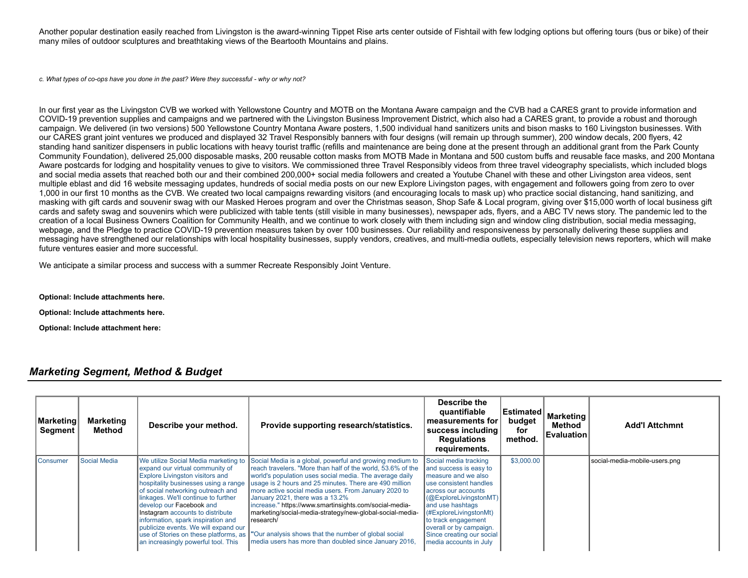Another popular destination easily reached from Livingston is the award-winning Tippet Rise arts center outside of Fishtail with few lodging options but offering tours (bus or bike) of their many miles of outdoor sculptures and breathtaking views of the Beartooth Mountains and plains.

*c. What types of co-ops have you done in the past? Were they successful - why or why not?*

In our first year as the Livingston CVB we worked with Yellowstone Country and MOTB on the Montana Aware campaign and the CVB had a CARES grant to provide information and COVID-19 prevention supplies and campaigns and we partnered with the Livingston Business Improvement District, which also had a CARES grant, to provide a robust and thorough campaign. We delivered (in two versions) 500 Yellowstone Country Montana Aware posters, 1,500 individual hand sanitizers units and bison masks to 160 Livingston businesses. With our CARES grant joint ventures we produced and displayed 32 Travel Responsibly banners with four designs (will remain up through summer), 200 window decals, 200 flyers, 42 standing hand sanitizer dispensers in public locations with heavy tourist traffic (refills and maintenance are being done at the present through an additional grant from the Park County Community Foundation), delivered 25,000 disposable masks, 200 reusable cotton masks from MOTB Made in Montana and 500 custom buffs and reusable face masks, and 200 Montana Aware postcards for lodging and hospitality venues to give to visitors. We commissioned three Travel Responsibly videos from three travel videography specialists, which included blogs and social media assets that reached both our and their combined 200,000+ social media followers and created a Youtube Chanel with these and other Livingston area videos, sent multiple eblast and did 16 website messaging updates, hundreds of social media posts on our new Explore Livingston pages, with engagement and followers going from zero to over 1,000 in our first 10 months as the CVB. We created two local campaigns rewarding visitors (and encouraging locals to mask up) who practice social distancing, hand sanitizing, and masking with gift cards and souvenir swag with our Masked Heroes program and over the Christmas season, Shop Safe & Local program, giving over \$15,000 worth of local business gift cards and safety swag and souvenirs which were publicized with table tents (still visible in many businesses), newspaper ads, flyers, and a ABC TV news story. The pandemic led to the creation of a local Business Owners Coalition for Community Health, and we continue to work closely with them including sign and window cling distribution, social media messaging, webpage, and the Pledge to practice COVID-19 prevention measures taken by over 100 businesses. Our reliability and responsiveness by personally delivering these supplies and messaging have strengthened our relationships with local hospitality businesses, supply vendors, creatives, and multi-media outlets, especially television news reporters, which will make future ventures easier and more successful.

We anticipate a similar process and success with a summer Recreate Responsibly Joint Venture.

**Optional: Include attachments here.**

**Optional: Include attachments here.**

**Optional: Include attachment here:**

# *Marketing Segment, Method & Budget*

| Marketing<br><b>Segment</b> | <b>Marketing</b><br>Method | Describe your method.                                                                                                                                                                                                                                                                                                                                                                                                       | Provide supporting research/statistics.                                                                                                                                                                                                                                                                                                                                                                                                                                                                                                                                                                                          | Describe the<br>quantifiable<br>measurements for l<br>success including<br><b>Regulations</b><br>requirements.                                                                                                                                                                                           | ∣Estimated ∣<br>budget<br>for<br>method. | <b>Marketing</b><br>Method<br><b>Evaluation</b> | <b>Add'l Attchmnt</b>         |
|-----------------------------|----------------------------|-----------------------------------------------------------------------------------------------------------------------------------------------------------------------------------------------------------------------------------------------------------------------------------------------------------------------------------------------------------------------------------------------------------------------------|----------------------------------------------------------------------------------------------------------------------------------------------------------------------------------------------------------------------------------------------------------------------------------------------------------------------------------------------------------------------------------------------------------------------------------------------------------------------------------------------------------------------------------------------------------------------------------------------------------------------------------|----------------------------------------------------------------------------------------------------------------------------------------------------------------------------------------------------------------------------------------------------------------------------------------------------------|------------------------------------------|-------------------------------------------------|-------------------------------|
| <b>I</b> Consumer           | Social Media               | expand our virtual community of<br><b>Explore Livingston visitors and</b><br>hospitality businesses using a range<br>of social networking outreach and<br>linkages. We'll continue to further<br>develop our Facebook and<br>Instagram accounts to distribute<br>information, spark inspiration and<br>publicize events. We will expand our<br>use of Stories on these platforms, as<br>an increasingly powerful tool. This | We utilize Social Media marketing to Social Media is a global, powerful and growing medium to<br>reach travelers. "More than half of the world, 53.6% of the<br>world's population uses social media. The average daily<br>usage is 2 hours and 25 minutes. There are 490 million<br>more active social media users. From January 2020 to<br>January 2021, there was a 13.2%<br>increase." https://www.smartinsights.com/social-media-<br>marketing/social-media-strategy/new-global-social-media-<br>research/<br>"Our analysis shows that the number of global social<br>media users has more than doubled since January 2016, | Social media tracking<br>and success is easy to<br>measure and we also<br>use consistent handles<br>across our accounts<br>(@ExploreLivingstonMT)<br>and use hashtags<br>(#ExploreLivingstonMt)<br>to track engagement<br>overall or by campaign.<br>Since creating our social<br>media accounts in July | \$3,000.00                               |                                                 | social-media-mobile-users.png |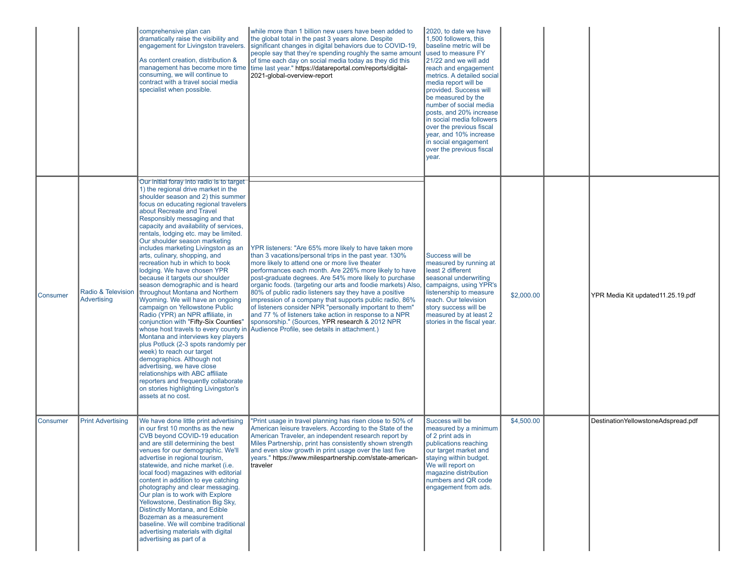|                 |                                   | comprehensive plan can<br>dramatically raise the visibility and<br>engagement for Livingston travelers.<br>As content creation, distribution &<br>consuming, we will continue to<br>contract with a travel social media<br>specialist when possible.                                                                                                                                                                                                                                                                                                                                                                                                                                                                                                                                                                                                                                                                                                                                                                                                                                                               | while more than 1 billion new users have been added to<br>the global total in the past 3 years alone. Despite<br>significant changes in digital behaviors due to COVID-19,<br>people say that they're spending roughly the same amount<br>of time each day on social media today as they did this<br>management has become more time   time last year." https://datareportal.com/reports/digital-<br>2021-global-overview-report                                                                                                                                                                                                                                                                     | 2020, to date we have<br>1,500 followers, this<br>baseline metric will be<br>used to measure FY<br>21/22 and we will add<br>reach and engagement<br>metrics. A detailed social<br>media report will be<br>provided. Success will<br>be measured by the<br>number of social media<br>posts, and 20% increase<br>in social media followers<br>over the previous fiscal<br>year, and 10% increase<br>in social engagement<br>over the previous fiscal<br>year. |            |                                    |
|-----------------|-----------------------------------|--------------------------------------------------------------------------------------------------------------------------------------------------------------------------------------------------------------------------------------------------------------------------------------------------------------------------------------------------------------------------------------------------------------------------------------------------------------------------------------------------------------------------------------------------------------------------------------------------------------------------------------------------------------------------------------------------------------------------------------------------------------------------------------------------------------------------------------------------------------------------------------------------------------------------------------------------------------------------------------------------------------------------------------------------------------------------------------------------------------------|------------------------------------------------------------------------------------------------------------------------------------------------------------------------------------------------------------------------------------------------------------------------------------------------------------------------------------------------------------------------------------------------------------------------------------------------------------------------------------------------------------------------------------------------------------------------------------------------------------------------------------------------------------------------------------------------------|-------------------------------------------------------------------------------------------------------------------------------------------------------------------------------------------------------------------------------------------------------------------------------------------------------------------------------------------------------------------------------------------------------------------------------------------------------------|------------|------------------------------------|
| Consumer        | Radio & Television<br>Advertising | Our initial foray into radio is to target<br>1) the regional drive market in the<br>shoulder season and 2) this summer<br>focus on educating regional travelers<br>about Recreate and Travel<br>Responsibly messaging and that<br>capacity and availability of services,<br>rentals, lodging etc. may be limited.<br>Our shoulder season marketing<br>includes marketing Livingston as an<br>arts, culinary, shopping, and<br>recreation hub in which to book<br>lodging. We have chosen YPR<br>because it targets our shoulder<br>season demographic and is heard<br>throughout Montana and Northern<br>Wyoming. We will have an ongoing<br>campaign on Yellowstone Public<br>Radio (YPR) an NPR affiliate, in<br>conjunction with "Fifty-Six Counties"<br>whose host travels to every county in<br>Montana and interviews key players<br>plus Potluck (2-3 spots randomly per<br>week) to reach our target<br>demographics. Although not<br>advertising, we have close<br>relationships with ABC affiliate<br>reporters and frequently collaborate<br>on stories highlighting Livingston's<br>assets at no cost. | YPR listeners: "Are 65% more likely to have taken more<br>than 3 vacations/personal trips in the past year. 130%<br>more likely to attend one or more live theater<br>performances each month. Are 226% more likely to have<br>post-graduate degrees. Are 54% more likely to purchase<br>organic foods. (targeting our arts and foodie markets) Also,<br>80% of public radio listeners say they have a positive<br>impression of a company that supports public radio, 86%<br>of listeners consider NPR "personally important to them"<br>and 77 % of listeners take action in response to a NPR<br>sponsorship." (Sources, YPR research & 2012 NPR<br>Audience Profile, see details in attachment.) | Success will be<br>measured by running at<br>least 2 different<br>seasonal underwriting<br>campaigns, using YPR's<br>listenership to measure<br>reach. Our television<br>story success will be<br>measured by at least 2<br>stories in the fiscal year.                                                                                                                                                                                                     | \$2,000.00 | YPR Media Kit updated11.25.19.pdf  |
| <b>Consumer</b> | <b>Print Advertising</b>          | We have done little print advertising<br>in our first 10 months as the new<br>CVB beyond COVID-19 education<br>and are still determining the best<br>venues for our demographic. We'll<br>advertise in regional tourism,<br>statewide, and niche market (i.e.<br>local food) magazines with editorial<br>content in addition to eye catching<br>photography and clear messaging.<br>Our plan is to work with Explore<br>Yellowstone, Destination Big Sky,<br>Distinctly Montana, and Edible<br>Bozeman as a measurement<br>baseline. We will combine traditional<br>advertising materials with digital<br>advertising as part of a                                                                                                                                                                                                                                                                                                                                                                                                                                                                                 | "Print usage in travel planning has risen close to 50% of<br>American leisure travelers. According to the State of the<br>American Traveler, an independent research report by<br>Miles Partnership, print has consistently shown strength<br>and even slow growth in print usage over the last five<br>years." https://www.milespartnership.com/state-american-<br>traveler                                                                                                                                                                                                                                                                                                                         | Success will be<br>measured by a minimum<br>of 2 print ads in<br>publications reaching<br>our target market and<br>staying within budget.<br>We will report on<br>magazine distribution<br>numbers and QR code<br>engagement from ads.                                                                                                                                                                                                                      | \$4,500.00 | DestinationYellowstoneAdspread.pdf |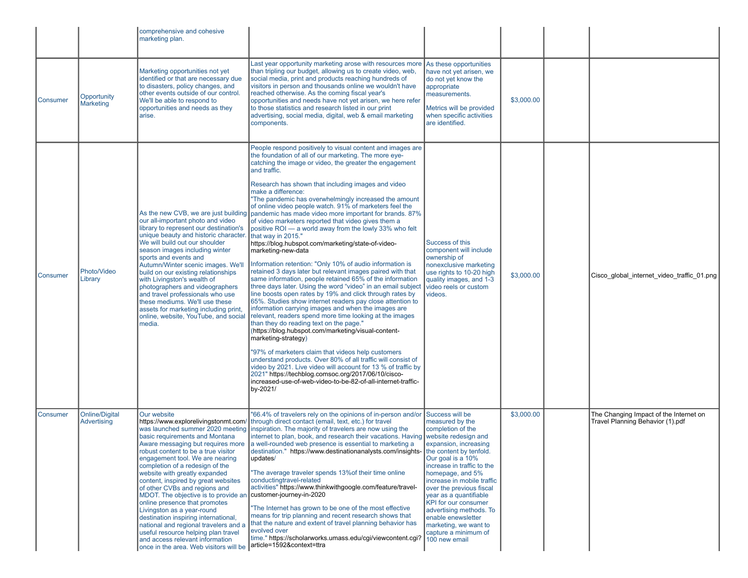|                 |                                      | comprehensive and cohesive<br>marketing plan.                                                                                                                                                                                                                                                                                                                                                                                                                                                                                                                                                                                                                                                    |                                                                                                                                                                                                                                                                                                                                                                                                                                                                                                                                                                                                                                                                                                                                                                                                                                                                                                                                                                                                                                                                                                                                                                                                                                                                                                                                                                                                                                                                                                                                                                                                                                  |                                                                                                                                                                                                                                                                                                                                                                                                                   |            |                                                                            |
|-----------------|--------------------------------------|--------------------------------------------------------------------------------------------------------------------------------------------------------------------------------------------------------------------------------------------------------------------------------------------------------------------------------------------------------------------------------------------------------------------------------------------------------------------------------------------------------------------------------------------------------------------------------------------------------------------------------------------------------------------------------------------------|----------------------------------------------------------------------------------------------------------------------------------------------------------------------------------------------------------------------------------------------------------------------------------------------------------------------------------------------------------------------------------------------------------------------------------------------------------------------------------------------------------------------------------------------------------------------------------------------------------------------------------------------------------------------------------------------------------------------------------------------------------------------------------------------------------------------------------------------------------------------------------------------------------------------------------------------------------------------------------------------------------------------------------------------------------------------------------------------------------------------------------------------------------------------------------------------------------------------------------------------------------------------------------------------------------------------------------------------------------------------------------------------------------------------------------------------------------------------------------------------------------------------------------------------------------------------------------------------------------------------------------|-------------------------------------------------------------------------------------------------------------------------------------------------------------------------------------------------------------------------------------------------------------------------------------------------------------------------------------------------------------------------------------------------------------------|------------|----------------------------------------------------------------------------|
| <b>Consumer</b> | Opportunity<br><b>Marketing</b>      | Marketing opportunities not yet<br>identified or that are necessary due<br>to disasters, policy changes, and<br>other events outside of our control.<br>We'll be able to respond to<br>opportunities and needs as they<br>arise.                                                                                                                                                                                                                                                                                                                                                                                                                                                                 | Last year opportunity marketing arose with resources more<br>than tripling our budget, allowing us to create video, web,<br>social media, print and products reaching hundreds of<br>visitors in person and thousands online we wouldn't have<br>reached otherwise. As the coming fiscal year's<br>opportunities and needs have not yet arisen, we here refer<br>to those statistics and research listed in our print<br>advertising, social media, digital, web & email marketing<br>components.                                                                                                                                                                                                                                                                                                                                                                                                                                                                                                                                                                                                                                                                                                                                                                                                                                                                                                                                                                                                                                                                                                                                | As these opportunities<br>have not yet arisen, we<br>do not yet know the<br>appropriate<br>measurements.<br>Metrics will be provided<br>when specific activities<br>are identified.                                                                                                                                                                                                                               | \$3,000.00 |                                                                            |
| <b>Consumer</b> | Photo/Video<br>Library               | As the new CVB, we are just building<br>our all-important photo and video<br>library to represent our destination's<br>unique beauty and historic character.<br>We will build out our shoulder<br>season images including winter<br>sports and events and<br>Autumn/Winter scenic images. We'll<br>build on our existing relationships<br>with Livingston's wealth of<br>photographers and videographers<br>and travel professionals who use<br>these mediums. We'll use these<br>assets for marketing including print,<br>online, website, YouTube, and social<br>media.                                                                                                                        | People respond positively to visual content and images are<br>the foundation of all of our marketing. The more eye-<br>catching the image or video, the greater the engagement<br>and traffic.<br>Research has shown that including images and video<br>make a difference:<br>"The pandemic has overwhelmingly increased the amount<br>of online video people watch. 91% of marketers feel the<br>pandemic has made video more important for brands. 87%<br>of video marketers reported that video gives them a<br>positive ROI — a world away from the lowly 33% who felt<br>that way in 2015."<br>https://blog.hubspot.com/marketing/state-of-video-<br>marketing-new-data<br>Information retention: "Only 10% of audio information is<br>retained 3 days later but relevant images paired with that<br>same information, people retained 65% of the information<br>three days later. Using the word "video" in an email subject<br>line boosts open rates by 19% and click through rates by<br>65%. Studies show internet readers pay close attention to<br>information carrying images and when the images are<br>relevant, readers spend more time looking at the images<br>than they do reading text on the page."<br>(https://blog.hubspot.com/marketing/visual-content-<br>marketing-strategy)<br>"97% of marketers claim that videos help customers<br>understand products. Over 80% of all traffic will consist of<br>video by 2021. Live video will account for 13 % of traffic by<br>2021" https://techblog.comsoc.org/2017/06/10/cisco-<br>increased-use-of-web-video-to-be-82-of-all-internet-traffic-<br>by-2021/ | <b>Success of this</b><br>component will include<br>ownership of<br>nonexclusive marketing<br>use rights to 10-20 high<br>quality images, and 1-3<br>video reels or custom<br>videos.                                                                                                                                                                                                                             | \$3,000.00 | Cisco global internet video traffic 01.png                                 |
| Consumer        | <b>Online/Digital</b><br>Advertising | Our website<br>https://www.explorelivingstonmt.com/<br>was launched summer 2020 meeting<br>basic requirements and Montana<br>Aware messaging but requires more<br>robust content to be a true visitor<br>engagement tool. We are nearing<br>completion of a redesign of the<br>website with greatly expanded<br>content, inspired by great websites<br>of other CVBs and regions and<br>MDOT. The objective is to provide an<br>online presence that promotes<br>Livingston as a year-round<br>destination inspiring international,<br>national and regional travelers and a<br>useful resource helping plan travel<br>and access relevant information<br>once in the area. Web visitors will be | "66.4% of travelers rely on the opinions of in-person and/or<br>through direct contact (email, text, etc.) for travel<br>inspiration. The majority of travelers are now using the<br>internet to plan, book, and research their vacations. Having website redesign and<br>a well-rounded web presence is essential to marketing a<br>destination." https://www.destinationanalysts.com/insights-<br>updates/<br>"The average traveler spends 13% of their time online<br>conductingtravel-related<br>activities" https://www.thinkwithgoogle.com/feature/travel-<br>customer-journey-in-2020<br>"The Internet has grown to be one of the most effective<br>means for trip planning and recent research shows that<br>that the nature and extent of travel planning behavior has<br>evolved over<br>time." https://scholarworks.umass.edu/cqi/viewcontent.cqi?<br>article=1592&context=ttra                                                                                                                                                                                                                                                                                                                                                                                                                                                                                                                                                                                                                                                                                                                                       | Success will be<br>measured by the<br>completion of the<br>expansion, increasing<br>the content by tenfold.<br>Our goal is a 10%<br>increase in traffic to the<br>homepage, and 5%<br>increase in mobile traffic<br>over the previous fiscal<br>year as a quantifiable<br>KPI for our consumer<br>advertising methods. To<br>enable enewsletter<br>marketing, we want to<br>capture a minimum of<br>100 new email | \$3,000.00 | The Changing Impact of the Internet on<br>Travel Planning Behavior (1).pdf |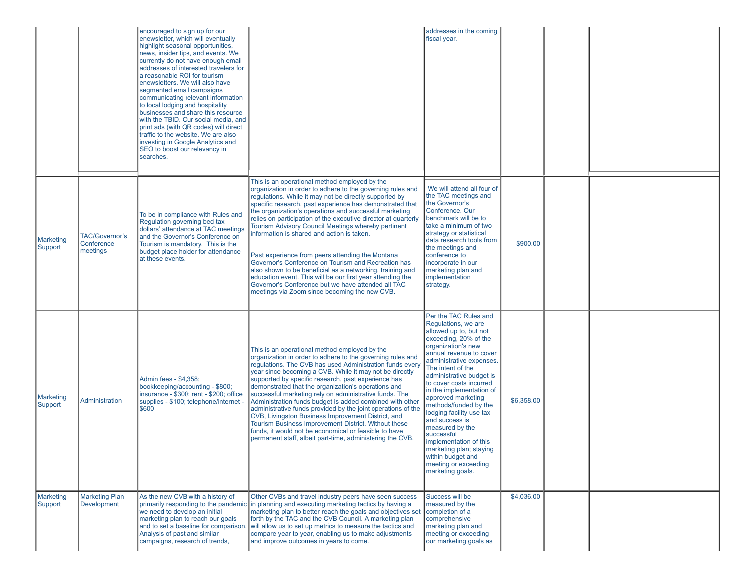|                      |                                                 | encouraged to sign up for our<br>enewsletter, which will eventually<br>highlight seasonal opportunities,<br>news, insider tips, and events. We<br>currently do not have enough email<br>addresses of interested travelers for<br>a reasonable ROI for tourism<br>enewsletters. We will also have<br>segmented email campaigns<br>communicating relevant information<br>to local lodging and hospitality<br>businesses and share this resource<br>with the TBID. Our social media, and<br>print ads (with QR codes) will direct<br>traffic to the website. We are also<br>investing in Google Analytics and<br>SEO to boost our relevancy in<br>searches. |                                                                                                                                                                                                                                                                                                                                                                                                                                                                                                                                                                                                                                                                                                                                                                                                                 | addresses in the coming<br>fiscal year.                                                                                                                                                                                                                                                                                                                                                                                                                                                                                                  |            |  |
|----------------------|-------------------------------------------------|----------------------------------------------------------------------------------------------------------------------------------------------------------------------------------------------------------------------------------------------------------------------------------------------------------------------------------------------------------------------------------------------------------------------------------------------------------------------------------------------------------------------------------------------------------------------------------------------------------------------------------------------------------|-----------------------------------------------------------------------------------------------------------------------------------------------------------------------------------------------------------------------------------------------------------------------------------------------------------------------------------------------------------------------------------------------------------------------------------------------------------------------------------------------------------------------------------------------------------------------------------------------------------------------------------------------------------------------------------------------------------------------------------------------------------------------------------------------------------------|------------------------------------------------------------------------------------------------------------------------------------------------------------------------------------------------------------------------------------------------------------------------------------------------------------------------------------------------------------------------------------------------------------------------------------------------------------------------------------------------------------------------------------------|------------|--|
| Marketing<br>Support | <b>TAC/Governor's</b><br>Conference<br>meetings | To be in compliance with Rules and<br>Regulation governing bed tax<br>dollars' attendance at TAC meetings<br>and the Governor's Conference on<br>Tourism is mandatory. This is the<br>budget place holder for attendance<br>at these events.                                                                                                                                                                                                                                                                                                                                                                                                             | This is an operational method employed by the<br>organization in order to adhere to the governing rules and<br>regulations. While it may not be directly supported by<br>specific research, past experience has demonstrated that<br>the organization's operations and successful marketing<br>relies on participation of the executive director at quarterly<br>Tourism Advisory Council Meetings whereby pertinent<br>information is shared and action is taken.<br>Past experience from peers attending the Montana<br>Governor's Conference on Tourism and Recreation has<br>also shown to be beneficial as a networking, training and<br>education event. This will be our first year attending the<br>Governor's Conference but we have attended all TAC<br>meetings via Zoom since becoming the new CVB. | We will attend all four of<br>the TAC meetings and<br>the Governor's<br>Conference, Our<br>benchmark will be to<br>take a minimum of two<br>strategy or statistical<br>data research tools from<br>the meetings and<br>conference to<br>incorporate in our<br>marketing plan and<br>implementation<br>strategy.                                                                                                                                                                                                                          | \$900.00   |  |
| Marketing<br>Support | Administration                                  | Admin fees - \$4,358;<br>bookkeeping/accounting - \$800;<br>insurance - \$300; rent - \$200; office<br>supplies - \$100; telephone/internet -<br>\$600                                                                                                                                                                                                                                                                                                                                                                                                                                                                                                   | This is an operational method employed by the<br>organization in order to adhere to the governing rules and<br>regulations. The CVB has used Administration funds every<br>year since becoming a CVB. While it may not be directly<br>supported by specific research, past experience has<br>demonstrated that the organization's operations and<br>successful marketing rely on administrative funds. The<br>Administration funds budget is added combined with other<br>administrative funds provided by the joint operations of the<br>CVB, Livingston Business Improvement District, and<br>Tourism Business Improvement District. Without these<br>funds, it would not be economical or feasible to have<br>permanent staff, albeit part-time, administering the CVB.                                      | Per the TAC Rules and<br>Regulations, we are<br>allowed up to, but not<br>exceeding, 20% of the<br>organization's new<br>annual revenue to cover<br>administrative expenses.<br>The intent of the<br>administrative budget is<br>to cover costs incurred<br>in the implementation of<br>approved marketing<br>methods/funded by the<br>lodging facility use tax<br>and success is<br>measured by the<br>successful<br>implementation of this<br>marketing plan; staying<br>within budget and<br>meeting or exceeding<br>marketing goals. | \$6,358.00 |  |
| Marketing<br>Support | <b>Marketing Plan</b><br><b>Development</b>     | As the new CVB with a history of<br>we need to develop an initial<br>marketing plan to reach our goals<br>Analysis of past and similar<br>campaigns, research of trends,                                                                                                                                                                                                                                                                                                                                                                                                                                                                                 | Other CVBs and travel industry peers have seen success<br>primarily responding to the pandemic in planning and executing marketing tactics by having a<br>marketing plan to better reach the goals and objectives set<br>forth by the TAC and the CVB Council. A marketing plan<br>and to set a baseline for comparison. will allow us to set up metrics to measure the tactics and<br>compare year to year, enabling us to make adjustments<br>and improve outcomes in years to come.                                                                                                                                                                                                                                                                                                                          | Success will be<br>measured by the<br>completion of a<br>comprehensive<br>marketing plan and<br>meeting or exceeding<br>our marketing goals as                                                                                                                                                                                                                                                                                                                                                                                           | \$4,036.00 |  |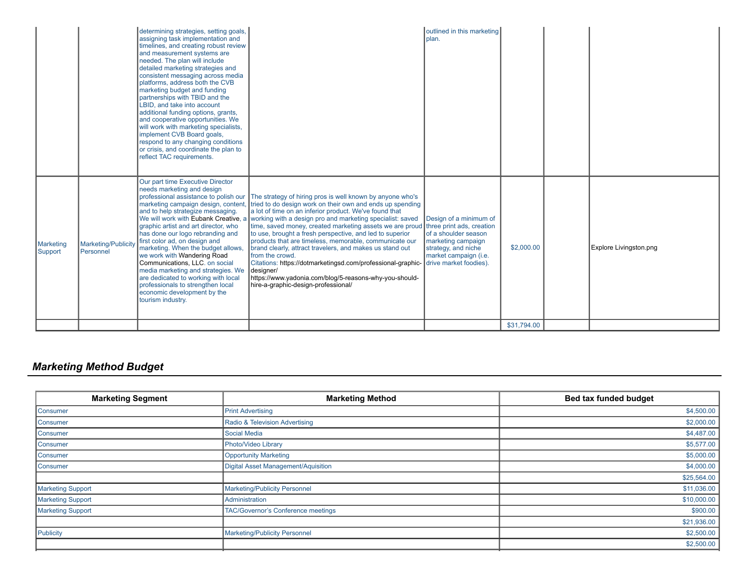| Our part time Executive Director<br>needs marketing and design<br>professional assistance to polish our The strategy of hiring pros is well known by anyone who's<br>marketing campaign design, content, tried to do design work on their own and ends up spending<br>and to help strategize messaging.<br>a lot of time on an inferior product. We've found that<br>We will work with Eubank Creative, a<br>working with a design pro and marketing specialist: saved<br>Design of a minimum of<br>time, saved money, created marketing assets we are proud<br>three print ads, creation<br>graphic artist and art director, who<br>to use, brought a fresh perspective, and led to superior<br>of a shoulder season<br>has done our logo rebranding and<br>products that are timeless, memorable, communicate our<br>first color ad, on design and<br>marketing campaign<br>Marketing/Publicity<br>\$2,000.00<br>Explore Livingston.png<br>marketing. When the budget allows,<br>brand clearly, attract travelers, and makes us stand out<br>strategy, and niche<br>Personnel<br>we work with Wandering Road<br>from the crowd.<br>market campaign (i.e.<br>Communications, LLC. on social<br>Citations: https://dotmarketingsd.com/professional-graphic-<br>drive market foodies).<br>media marketing and strategies. We<br>designer/<br>https://www.yadonia.com/blog/5-reasons-why-you-should-<br>are dedicated to working with local<br>professionals to strengthen local<br>hire-a-graphic-design-professional/<br>economic development by the<br>tourism industry. |                      | determining strategies, setting goals,<br>assigning task implementation and<br>timelines, and creating robust review<br>and measurement systems are<br>needed. The plan will include<br>detailed marketing strategies and<br>consistent messaging across media<br>platforms, address both the CVB<br>marketing budget and funding<br>partnerships with TBID and the<br>LBID, and take into account<br>additional funding options, grants,<br>and cooperative opportunities. We<br>will work with marketing specialists,<br>implement CVB Board goals,<br>respond to any changing conditions<br>or crisis, and coordinate the plan to<br>reflect TAC requirements. | outlined in this marketing<br>plan. |  |  |
|---------------------------------------------------------------------------------------------------------------------------------------------------------------------------------------------------------------------------------------------------------------------------------------------------------------------------------------------------------------------------------------------------------------------------------------------------------------------------------------------------------------------------------------------------------------------------------------------------------------------------------------------------------------------------------------------------------------------------------------------------------------------------------------------------------------------------------------------------------------------------------------------------------------------------------------------------------------------------------------------------------------------------------------------------------------------------------------------------------------------------------------------------------------------------------------------------------------------------------------------------------------------------------------------------------------------------------------------------------------------------------------------------------------------------------------------------------------------------------------------------------------------------------------------------------------------------|----------------------|-------------------------------------------------------------------------------------------------------------------------------------------------------------------------------------------------------------------------------------------------------------------------------------------------------------------------------------------------------------------------------------------------------------------------------------------------------------------------------------------------------------------------------------------------------------------------------------------------------------------------------------------------------------------|-------------------------------------|--|--|
| \$31,794.00                                                                                                                                                                                                                                                                                                                                                                                                                                                                                                                                                                                                                                                                                                                                                                                                                                                                                                                                                                                                                                                                                                                                                                                                                                                                                                                                                                                                                                                                                                                                                               | Marketing<br>Support |                                                                                                                                                                                                                                                                                                                                                                                                                                                                                                                                                                                                                                                                   |                                     |  |  |

# *Marketing Method Budget*

| <b>Marketing Method</b>             | Bed tax funded budget |
|-------------------------------------|-----------------------|
| <b>Print Advertising</b>            | \$4,500.00            |
| Radio & Television Advertising      | \$2,000.00            |
| Social Media                        | \$4,487.00            |
| Photo/Video Library                 | \$5,577.00            |
| Opportunity Marketing               | \$5,000.00            |
| Digital Asset Management/Aquisition | \$4,000.00            |
|                                     | \$25,564.00           |
| Marketing/Publicity Personnel       | \$11,036.00           |
| Administration                      | \$10,000.00           |
| TAC/Governor's Conference meetings  | \$900.00              |
|                                     | \$21,936.00           |
| Marketing/Publicity Personnel       | \$2,500.00            |
|                                     | \$2,500.00            |
|                                     |                       |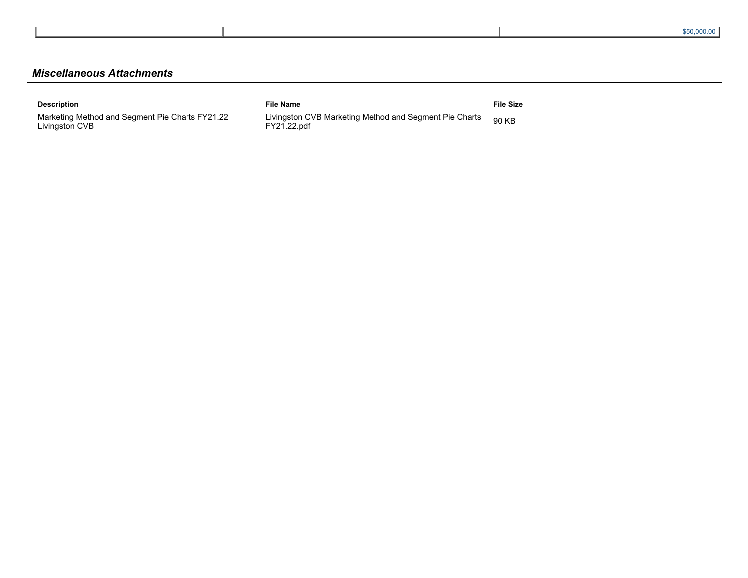# *Miscellaneous Attachments*

| <b>Description</b>                                                | <b>File Name</b>                                                      | File Size |
|-------------------------------------------------------------------|-----------------------------------------------------------------------|-----------|
| Marketing Method and Segment Pie Charts FY21.22<br>Livingston CVB | Livingston CVB Marketing Method and Segment Pie Charts<br>FY21.22.pdf | 90 KB     |